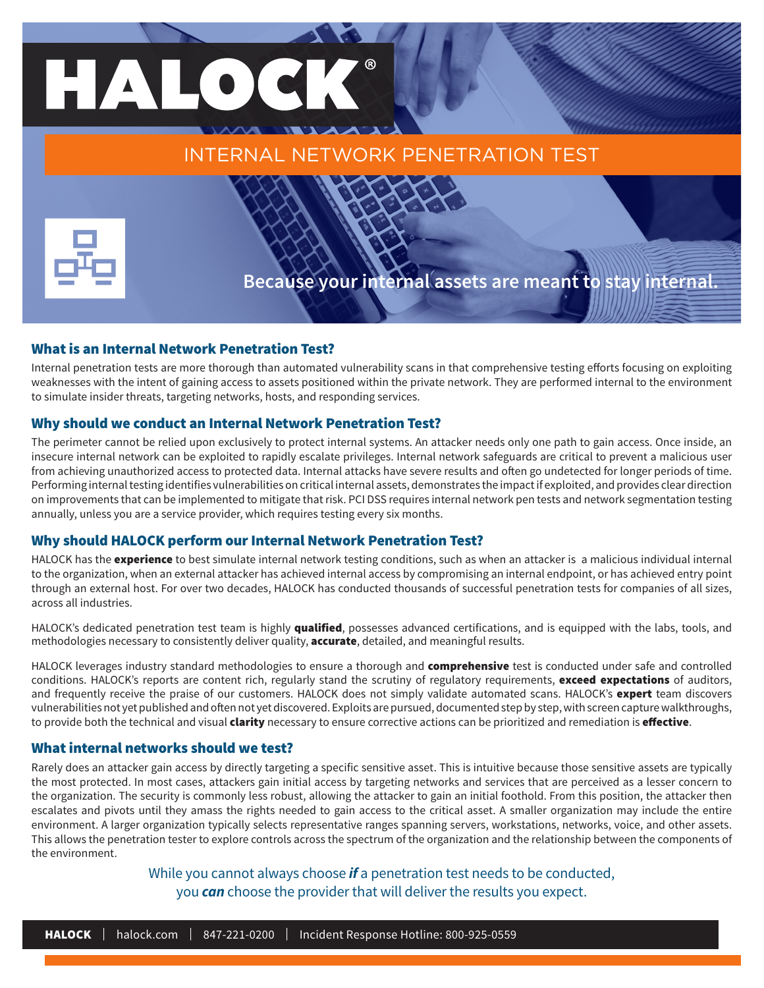# HALOC INTERNAL NETWORK PENETRATION TEST



## **Because your internal assets are meant to stay internal.**

#### What is an Internal Network Penetration Test?

Internal penetration tests are more thorough than automated vulnerability scans in that comprehensive testing efforts focusing on exploiting weaknesses with the intent of gaining access to assets positioned within the private network. They are performed internal to the environment to simulate insider threats, targeting networks, hosts, and responding services.

#### Why should we conduct an Internal Network Penetration Test?

The perimeter cannot be relied upon exclusively to protect internal systems. An attacker needs only one path to gain access. Once inside, an insecure internal network can be exploited to rapidly escalate privileges. Internal network safeguards are critical to prevent a malicious user from achieving unauthorized access to protected data. Internal attacks have severe results and often go undetected for longer periods of time. Performing internal testing identifies vulnerabilities on critical internal assets, demonstrates the impact if exploited, and provides clear direction on improvements that can be implemented to mitigate that risk. PCI DSS requires internal network pen tests and network segmentation testing annually, unless you are a service provider, which requires testing every six months.

#### Why should HALOCK perform our Internal Network Penetration Test?

HALOCK has the **experience** to best simulate internal network testing conditions, such as when an attacker is a malicious individual internal to the organization, when an external attacker has achieved internal access by compromising an internal endpoint, or has achieved entry point through an external host. For over two decades, HALOCK has conducted thousands of successful penetration tests for companies of all sizes, across all industries.

HALOCK's dedicated penetration test team is highly qualified, possesses advanced certifications, and is equipped with the labs, tools, and methodologies necessary to consistently deliver quality, **accurate**, detailed, and meaningful results.

HALOCK leverages industry standard methodologies to ensure a thorough and comprehensive test is conducted under safe and controlled conditions. HALOCK's reports are content rich, regularly stand the scrutiny of regulatory requirements, exceed expectations of auditors, and frequently receive the praise of our customers. HALOCK does not simply validate automated scans. HALOCK's expert team discovers vulnerabilities not yet published and often not yet discovered. Exploits are pursued, documented step by step, with screen capture walkthroughs, to provide both the technical and visual *clarity* necessary to ensure corrective actions can be prioritized and remediation is effective.

#### What internal networks should we test?

Rarely does an attacker gain access by directly targeting a specific sensitive asset. This is intuitive because those sensitive assets are typically the most protected. In most cases, attackers gain initial access by targeting networks and services that are perceived as a lesser concern to the organization. The security is commonly less robust, allowing the attacker to gain an initial foothold. From this position, the attacker then escalates and pivots until they amass the rights needed to gain access to the critical asset. A smaller organization may include the entire environment. A larger organization typically selects representative ranges spanning servers, workstations, networks, voice, and other assets. This allows the penetration tester to explore controls across the spectrum of the organization and the relationship between the components of the environment.

#### While you cannot always choose *if* a penetration test needs to be conducted, you *can* choose the provider that will deliver the results you expect.